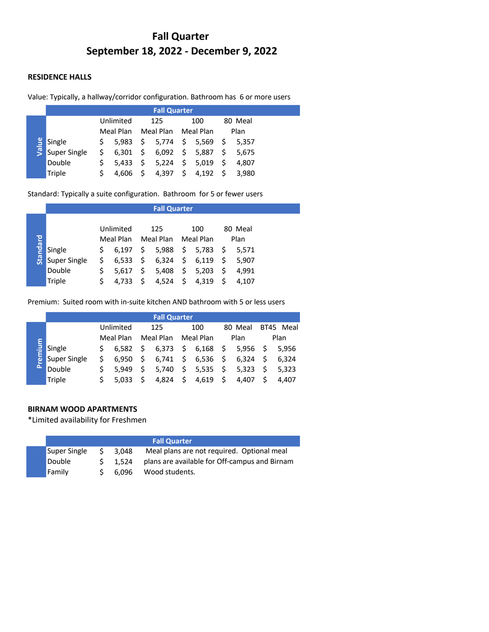# **Fall Quarter September 18, 2022 - December 9, 2022**

### **RESIDENCE HALLS**

### Value: Typically, a hallway/corridor configuration. Bathroom has 6 or more users

|       |              | <b>Fall Quarter</b> |           |      |                     |                     |          |    |         |  |  |
|-------|--------------|---------------------|-----------|------|---------------------|---------------------|----------|----|---------|--|--|
|       |              | Unlimited           |           | 125  |                     | 100                 |          |    | 80 Meal |  |  |
|       |              |                     | Meal Plan |      | Meal Plan Meal Plan |                     |          |    | Plan    |  |  |
| Value | Single       | S.                  | 5.983     |      | \$ 5,774            |                     | \$ 5,569 | -S | 5.357   |  |  |
|       | Super Single | Ś.                  | 6.301     |      | \$6,092\$5,887      |                     |          | S  | 5.675   |  |  |
|       | Double       |                     | 5.433     | - \$ | 5,224               | $\ddot{\mathsf{s}}$ | 5,019    | S  | 4.807   |  |  |
|       | Triple       |                     | 4.606     |      | 4,397               | \$                  | 4,192    |    | 3.980   |  |  |

| Value    | Single                                                                   | \$<br>5,983 | \$<br>5,774         | \$<br>5,569 | \$<br>5,357 |  |
|----------|--------------------------------------------------------------------------|-------------|---------------------|-------------|-------------|--|
|          | Super Single                                                             | \$<br>6,301 | \$<br>6,092         | \$<br>5,887 | \$<br>5,675 |  |
|          | Double                                                                   | \$<br>5,433 | \$<br>5,224         | \$<br>5,019 | \$<br>4,807 |  |
|          | <b>Triple</b>                                                            | \$<br>4,606 | \$<br>4,397         | \$<br>4,192 | \$<br>3,980 |  |
|          |                                                                          |             |                     |             |             |  |
|          | Standard: Typically a suite configuration. Bathroom for 5 or fewer users |             |                     |             |             |  |
|          |                                                                          |             |                     |             |             |  |
|          |                                                                          |             |                     |             |             |  |
|          |                                                                          |             | <b>Fall Quarter</b> |             |             |  |
|          |                                                                          | Unlimited   | 125                 | 100         | 80 Meal     |  |
|          |                                                                          | Meal Plan   | Meal Plan           | Meal Plan   | Plan        |  |
|          | Single                                                                   | \$<br>6,197 | \$<br>5,988         | \$<br>5,783 | \$<br>5,571 |  |
| Standard | Super Single                                                             | \$<br>6,533 | \$<br>6,324         | \$<br>6,119 | \$<br>5,907 |  |
|          | Double                                                                   | \$<br>5,617 | \$<br>5,408         | \$<br>5,203 | \$<br>4,991 |  |

Premium: Suited room with in-suite kitchen AND bathroom with 5 or less users

|          | <b>Fall Quarter</b> |  |           |    |           |                     |                    |               |            |                     |           |
|----------|---------------------|--|-----------|----|-----------|---------------------|--------------------|---------------|------------|---------------------|-----------|
|          |                     |  | Unlimited |    | 125       |                     | 100                |               | 80 Meal    |                     | BT45 Meal |
|          |                     |  | Meal Plan |    | Meal Plan |                     | Meal Plan          |               | Plan       |                     | Plan      |
| remium   | Single              |  | 6.582     | S  | 6,373     |                     | \$6,168            | $\rightarrow$ | $5,956$ \$ |                     | 5.956     |
|          | Super Single        |  | 6.950     | S. |           |                     | $6,741 \div 6,536$ | $\cdot$ \$    | 6,324      | \$                  | 6.324     |
| $\Delta$ | Double              |  | 5.949     | S  | 5,740     |                     | \$5,535            |               | \$5,323    | $\ddot{\mathsf{s}}$ | 5.323     |
|          | Triple              |  | 5.033     |    | 4,824     | $\ddot{\mathsf{s}}$ | 4,619              | S             | 4.407      |                     | 4.407     |

### **BIRNAM WOOD APARTMENTS**

\*Limited availability for Freshmen

|              |    |       | <b>Fall Quarter</b>                           |
|--------------|----|-------|-----------------------------------------------|
| Super Single | S. | 3.048 | Meal plans are not required. Optional meal    |
| Double       |    | 1.524 | plans are available for Off-campus and Birnam |
| Family       |    | 6.096 | Wood students.                                |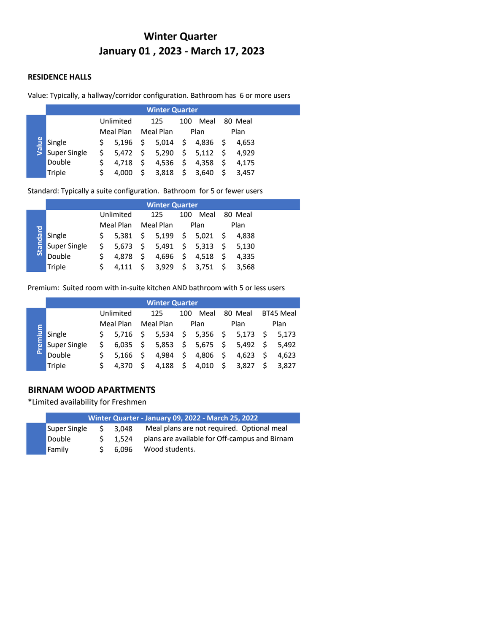# **Winter Quarter January 01 , 2023 - March 17, 2023**

### **RESIDENCE HALLS**

### Value: Typically, a hallway/corridor configuration. Bathroom has 6 or more users

|       |                     | <b>Winter Quarter</b> |           |                     |                    |     |                            |      |         |  |  |
|-------|---------------------|-----------------------|-----------|---------------------|--------------------|-----|----------------------------|------|---------|--|--|
|       |                     |                       | Unlimited |                     | 125                | 100 | Meal                       |      | 80 Meal |  |  |
|       |                     |                       | Meal Plan |                     | Meal Plan          |     | Plan                       |      | Plan    |  |  |
| Value | Single              | S.                    |           |                     |                    |     | 5,196 \$ 5,014 \$ 4,836 \$ |      | 4.653   |  |  |
|       | <b>Super Single</b> | S.                    |           |                     | $5,472 \div 5,290$ |     | \$5,112                    | - \$ | 4.929   |  |  |
|       | Double              |                       | 4.718     | $\ddot{\mathsf{S}}$ | 4,536 \$           |     | 4.358                      | -S   | 4.175   |  |  |
|       | Triple              |                       | 4.000     |                     | 3,818              |     | \$3,640                    |      | 3.457   |  |  |

Standard: Typically a suite configuration. Bathroom for 5 or fewer users

|          |              | <b>Winter Quarter</b> |           |    |                   |      |                                            |  |         |  |  |
|----------|--------------|-----------------------|-----------|----|-------------------|------|--------------------------------------------|--|---------|--|--|
|          |              |                       | Unlimited |    | 125               | 100  | Meal                                       |  | 80 Meal |  |  |
|          |              |                       | Meal Plan |    | Meal Plan         | Plan |                                            |  | Plan    |  |  |
| Standard | Single       | S.                    |           |    |                   |      | $5,381 \quad $5,199 \quad $5,021 \quad $5$ |  | 4.838   |  |  |
|          | Super Single | \$                    |           |    |                   |      | 5,673 \$ 5,491 \$ 5,313 \$ 5,130           |  |         |  |  |
|          | Double       |                       | 4.878     | \$ |                   |      | 4,696 \$ 4,518 \$                          |  | 4.335   |  |  |
|          | Triple       |                       | 4.111     |    | $$3,929$ $$3,751$ |      |                                            |  | \$3.568 |  |  |

Premium: Suited room with in-suite kitchen AND bathroom with 5 or less users

|        | <b>Winter Quarter</b> |           |       |                     |           |                     |                                               |                      |         |      |           |  |
|--------|-----------------------|-----------|-------|---------------------|-----------|---------------------|-----------------------------------------------|----------------------|---------|------|-----------|--|
|        |                       | Unlimited |       |                     | 125       |                     | Meal<br>100                                   |                      | 80 Meal |      | BT45 Meal |  |
|        | Meal Plan             |           |       |                     | Meal Plan |                     | Plan                                          |                      | Plan    | Plan |           |  |
| remium | Single                |           | 5.716 | -S                  |           |                     | 5,534 \$ 5,356 \$ 5,173                       |                      |         | - \$ | 5.173     |  |
|        | Super Single          |           | 6.035 | $\ddot{\mathsf{s}}$ |           |                     | 5,853 $\frac{1}{5}$ 5,675 $\frac{1}{5}$ 5,492 |                      |         | S.   | 5.492     |  |
| Δ      | Double                |           | 5.166 | -S                  | 4.984     | $\ddot{\mathsf{s}}$ | 4,806                                         | $\ddot{\phantom{1}}$ | 4.623   | S.   | 4.623     |  |
|        | Triple                |           | 4.370 |                     | 4,188     | $\frac{1}{2}$       | 4,010                                         | - \$                 | 3,827   |      | 3.827     |  |

## **BIRNAM WOOD APARTMENTS**

\*Limited availability for Freshmen

|              |    |       | Winter Quarter - January 09, 2022 - March 25, 2022 |
|--------------|----|-------|----------------------------------------------------|
| Super Single | S. | 3.048 | Meal plans are not required. Optional meal         |
| Double       |    | 1.524 | plans are available for Off-campus and Birnam      |
| Family       |    | 6.096 | Wood students.                                     |